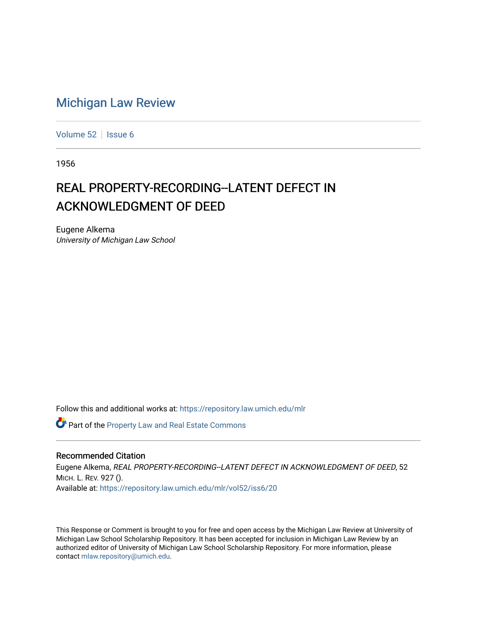## [Michigan Law Review](https://repository.law.umich.edu/mlr)

[Volume 52](https://repository.law.umich.edu/mlr/vol52) | [Issue 6](https://repository.law.umich.edu/mlr/vol52/iss6)

1956

## REAL PROPERTY-RECORDING--LATENT DEFECT IN ACKNOWLEDGMENT OF DEED

Eugene Alkema University of Michigan Law School

Follow this and additional works at: [https://repository.law.umich.edu/mlr](https://repository.law.umich.edu/mlr?utm_source=repository.law.umich.edu%2Fmlr%2Fvol52%2Fiss6%2F20&utm_medium=PDF&utm_campaign=PDFCoverPages) 

Part of the [Property Law and Real Estate Commons](http://network.bepress.com/hgg/discipline/897?utm_source=repository.law.umich.edu%2Fmlr%2Fvol52%2Fiss6%2F20&utm_medium=PDF&utm_campaign=PDFCoverPages) 

## Recommended Citation

Eugene Alkema, REAL PROPERTY-RECORDING--LATENT DEFECT IN ACKNOWLEDGMENT OF DEED, 52 MICH. L. REV. 927 (). Available at: [https://repository.law.umich.edu/mlr/vol52/iss6/20](https://repository.law.umich.edu/mlr/vol52/iss6/20?utm_source=repository.law.umich.edu%2Fmlr%2Fvol52%2Fiss6%2F20&utm_medium=PDF&utm_campaign=PDFCoverPages) 

This Response or Comment is brought to you for free and open access by the Michigan Law Review at University of Michigan Law School Scholarship Repository. It has been accepted for inclusion in Michigan Law Review by an authorized editor of University of Michigan Law School Scholarship Repository. For more information, please contact [mlaw.repository@umich.edu](mailto:mlaw.repository@umich.edu).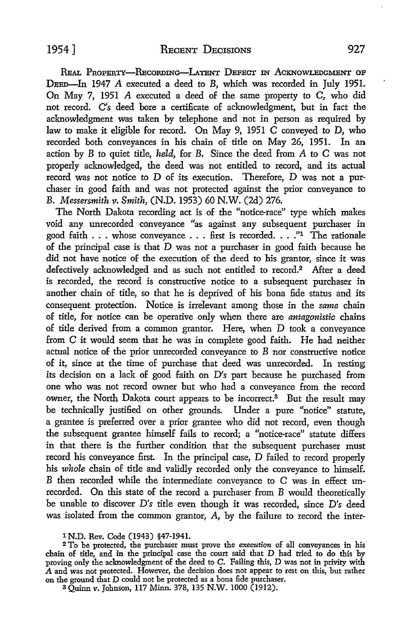REAL PROPERTY-RECORDING-LATENT DEFECT IN ACKNOWLEDGMENT OF DEED-In 1947 A executed a deed to B, which was recorded in July 1951. On May 7, 1951 A executed a deed of the same property *to* C, who did not record. *C's* deed bore a certificate of acknowledgment, but in fact the acknowledgment was taken by telephone and not in person as required by law to make it eligible for record. On May 9, 1951  $\overline{C}$  conveyed to D, who recorded both conveyances in his chain of title on May 26, 1951. In an action by *B to* quiet title, *held,* for *B.* Since the deed from *A* to C was not properly acknowledged, the deed was not entitled *to* record, and its actual record was not notice *to* D of its execution. Therefore, D was not a purchaser in good faith and was not protected against the prior conveyance *to B. Messersmith v. Smith,* (N.D. 1953) 60 N.W. (2d) 276.

The North Dakota recording act is of the "notice-race'' type which makes void any unrecorded conveyance "as against any subsequent purchaser in good faith  $\ldots$  whose conveyance  $\ldots$  first is recorded.  $\ldots$  ."1 The rationale of the principal case is that  $\overline{D}$  was not a purchaser in good faith because he did not have notice of the execution of the deed *to* his grantor, since it was defectively acknowledged and as such not entitled to record.2 After a deed is recorded, the record is constructive notice *to* a subsequent purchaser in another chain of title, so that he is deprived of his bona fide status and its consequent protection. Notice is irrelevant among those in the *same* chain of title, for notice can be operative only when there are *antagonistic* chains of title derived from a common granter. Here, when D took a conveyance from C it would seem that he was in complete good faith. He had neither actual notice of the prior unrecorded conveyance to B nor constructive notice of it, since at the time of purchase that deed was unrecorded. In resting; its decision on a lack of good faith on *D's* part because he purchased from one who was not record owner but who had a conveyance from the record owner, the North Dakota court appears *to* be incorrect.3 But the result may be technically justified on other grounds. Under a pure "notice" statute, a grantee is preferred over a prior grantee who did not record, even though the subsequent grantee himself fails to record; a "notice-race" statute differs in that there is the further condition that the subsequent purchaser must record his conveyance first. In the principal case, D failed to record properly his *whole* chain of title and validly recorded only the conveyance to himself. B then recorded while the intermediate conveyance to C was in effect unrecorded. On this state of the record a purchaser from B would theoretically be unable to discover *D's* title even though it was recorded, since *D's* deed was isolated from the common grantor, A, by the failure *to* record the inter-

<sup>1</sup> N.D. Rev. Code (1943) §47-1941.

<sup>2</sup>To be protected, the purchaser must prove the *execution* of all conveyances in his chain of title, and in the principal case the court said that D had tried to do this by proving only the acknowledgment of the deed to C. Failing this, D was not in privity with A and was not protected. However, the decision does not appear to rest on this, but rather on the ground that D could not be protected as a bona fide purchaser.

<sup>3</sup> Quinn v. Johnson, 117 Minn. 378, 135 N.W. 1000 (1912).